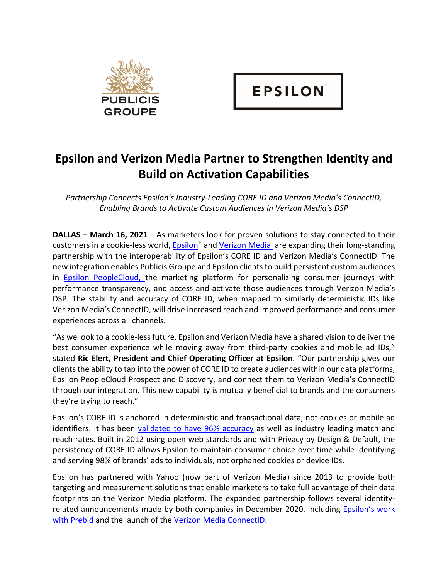

## **Epsilon and Verizon Media Partner to Strengthen Identity and Build on Activation Capabilities**

*Partnership Connects Epsilon's Industry-Leading CORE ID and Verizon Media's ConnectID, Enabling Brands to Activate Custom Audiences in Verizon Media's DSP*

**DALLAS – March 16, 2021** – As marketers look for proven solutions to stay connected to their customers in a cookie-less world, Epsilon® and Verizon Media are expanding their long-standing partnership with the interoperability of Epsilon's CORE ID and Verizon Media's ConnectID. The new integration enables Publicis Groupe and Epsilon clients to build persistent custom audiences in Epsilon PeopleCloud, the marketing platform for personalizing consumer journeys with performance transparency, and access and activate those audiences through Verizon Media's DSP. The stability and accuracy of CORE ID, when mapped to similarly deterministic IDs like Verizon Media's ConnectID, will drive increased reach and improved performance and consumer experiences across all channels.

"As we look to a cookie-less future, Epsilon and Verizon Media have a shared vision to deliver the best consumer experience while moving away from third-party cookies and mobile ad IDs," stated **Ric Elert, President and Chief Operating Officer at Epsilon**. "Our partnership gives our clients the ability to tap into the power of CORE ID to create audiences within our data platforms, Epsilon PeopleCloud Prospect and Discovery, and connect them to Verizon Media's ConnectID through our integration. This new capability is mutually beneficial to brands and the consumers they're trying to reach."

Epsilon's CORE ID is anchored in deterministic and transactional data, not cookies or mobile ad identifiers. It has been validated to have 96% accuracy as well as industry leading match and reach rates. Built in 2012 using open web standards and with Privacy by Design & Default, the persistency of CORE ID allows Epsilon to maintain consumer choice over time while identifying and serving 98% of brands' ads to individuals, not orphaned cookies or device IDs.

Epsilon has partnered with Yahoo (now part of Verizon Media) since 2013 to provide both targeting and measurement solutions that enable marketers to take full advantage of their data footprints on the Verizon Media platform. The expanded partnership follows several identityrelated announcements made by both companies in December 2020, including Epsilon's work with Prebid and the launch of the Verizon Media ConnectID.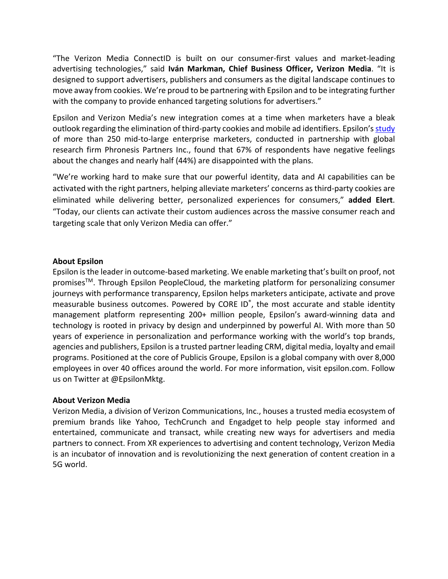"The Verizon Media ConnectID is built on our consumer-first values and market-leading advertising technologies," said **Iván Markman, Chief Business Officer, Verizon Media**. "It is designed to support advertisers, publishers and consumers as the digital landscape continues to move away from cookies. We're proud to be partnering with Epsilon and to be integrating further with the company to provide enhanced targeting solutions for advertisers."

Epsilon and Verizon Media's new integration comes at a time when marketers have a bleak outlook regarding the elimination of third-party cookies and mobile ad identifiers. Epsilon's study of more than 250 mid-to-large enterprise marketers, conducted in partnership with global research firm Phronesis Partners Inc., found that 67% of respondents have negative feelings about the changes and nearly half (44%) are disappointed with the plans.

"We're working hard to make sure that our powerful identity, data and AI capabilities can be activated with the right partners, helping alleviate marketers' concerns as third-party cookies are eliminated while delivering better, personalized experiences for consumers," **added Elert**. "Today, our clients can activate their custom audiences across the massive consumer reach and targeting scale that only Verizon Media can offer."

## **About Epsilon**

Epsilon is the leader in outcome-based marketing. We enable marketing that's built on proof, not promises<sup>™</sup>. Through Epsilon PeopleCloud, the marketing platform for personalizing consumer journeys with performance transparency, Epsilon helps marketers anticipate, activate and prove measurable business outcomes. Powered by CORE ID® , the most accurate and stable identity management platform representing 200+ million people, Epsilon's award-winning data and technology is rooted in privacy by design and underpinned by powerful AI. With more than 50 years of experience in personalization and performance working with the world's top brands, agencies and publishers, Epsilon is a trusted partner leading CRM, digital media, loyalty and email programs. Positioned at the core of Publicis Groupe, Epsilon is a global company with over 8,000 employees in over 40 offices around the world. For more information, visit epsilon.com. Follow us on Twitter at @EpsilonMktg.

## **About Verizon Media**

Verizon Media, a division of Verizon Communications, Inc., houses a trusted media ecosystem of premium brands like Yahoo, TechCrunch and Engadget to help people stay informed and entertained, communicate and transact, while creating new ways for advertisers and media partners to connect. From XR experiences to advertising and content technology, Verizon Media is an incubator of innovation and is revolutionizing the next generation of content creation in a 5G world.